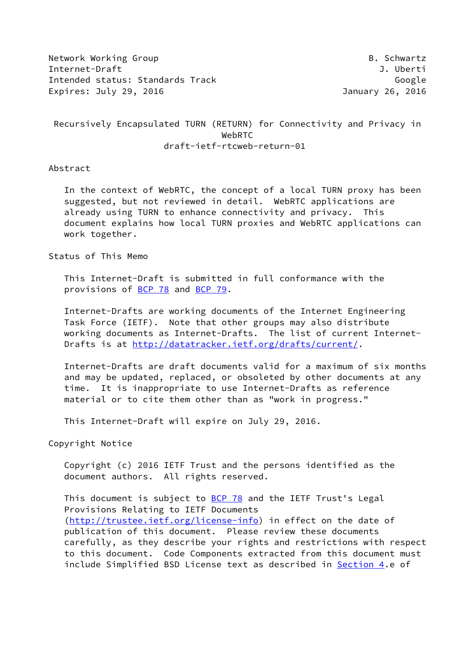Network Working Group **B. Schwartz** Internet-Draft J. Uberti Intended status: Standards Track Google Google Expires: July 29, 2016 **Interval and Australian Control** Danuary 26, 2016

 Recursively Encapsulated TURN (RETURN) for Connectivity and Privacy in WebRTC draft-ietf-rtcweb-return-01

### Abstract

 In the context of WebRTC, the concept of a local TURN proxy has been suggested, but not reviewed in detail. WebRTC applications are already using TURN to enhance connectivity and privacy. This document explains how local TURN proxies and WebRTC applications can work together.

Status of This Memo

 This Internet-Draft is submitted in full conformance with the provisions of [BCP 78](https://datatracker.ietf.org/doc/pdf/bcp78) and [BCP 79](https://datatracker.ietf.org/doc/pdf/bcp79).

 Internet-Drafts are working documents of the Internet Engineering Task Force (IETF). Note that other groups may also distribute working documents as Internet-Drafts. The list of current Internet Drafts is at<http://datatracker.ietf.org/drafts/current/>.

 Internet-Drafts are draft documents valid for a maximum of six months and may be updated, replaced, or obsoleted by other documents at any time. It is inappropriate to use Internet-Drafts as reference material or to cite them other than as "work in progress."

This Internet-Draft will expire on July 29, 2016.

Copyright Notice

 Copyright (c) 2016 IETF Trust and the persons identified as the document authors. All rights reserved.

This document is subject to [BCP 78](https://datatracker.ietf.org/doc/pdf/bcp78) and the IETF Trust's Legal Provisions Relating to IETF Documents [\(http://trustee.ietf.org/license-info](http://trustee.ietf.org/license-info)) in effect on the date of publication of this document. Please review these documents carefully, as they describe your rights and restrictions with respect to this document. Code Components extracted from this document must include Simplified BSD License text as described in [Section 4.](#page-9-0)e of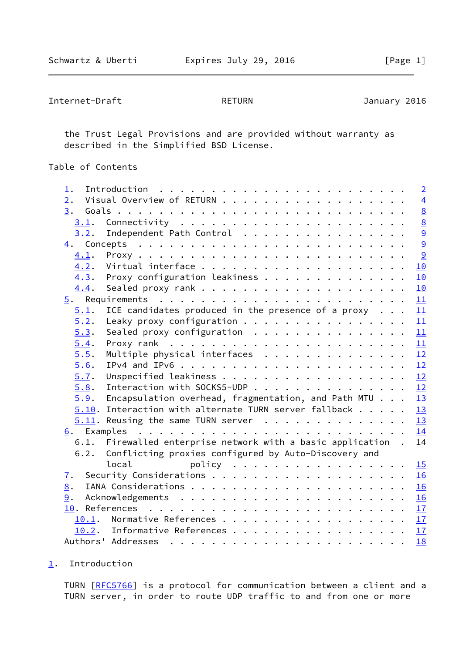```
Internet-Draft RETURN January 2016
```
 the Trust Legal Provisions and are provided without warranty as described in the Simplified BSD License.

# Table of Contents

| $\mathbf 1$ .               |                                                             | $\overline{2}$ |
|-----------------------------|-------------------------------------------------------------|----------------|
| 2.                          | Visual Overview of RETURN                                   | $\overline{4}$ |
| 3.                          |                                                             | $\frac{8}{8}$  |
| 3.1.                        |                                                             |                |
| 3.2.                        | Independent Path Control                                    | $\overline{a}$ |
|                             |                                                             | $\overline{9}$ |
| 4.1.                        |                                                             | 9              |
| 4.2.                        |                                                             | 10             |
| 4.3.                        | Proxy configuration leakiness                               | 10             |
| 4.4.                        |                                                             | 10             |
|                             |                                                             | 11             |
| 5.1.                        | ICE candidates produced in the presence of a proxy $\ldots$ | 11             |
| 5.2.                        | Leaky proxy configuration                                   | 11             |
| 5.3.                        | Sealed proxy configuration $\ldots$ ,                       | 11             |
| 5.4.                        |                                                             | 11             |
| 5.5.                        | Multiple physical interfaces                                | 12             |
| 5.6.                        |                                                             | 12             |
| 5.7.                        |                                                             | 12             |
| 5.8.                        | Interaction with SOCKS5-UDP                                 | 12             |
| 5.9.                        | Encapsulation overhead, fragmentation, and Path MTU         | 13             |
|                             | $5.10$ . Interaction with alternate TURN server fallback    | 13             |
|                             | $5.11$ . Reusing the same TURN server                       | 13             |
|                             |                                                             | 14             |
| 6.1.                        | Firewalled enterprise network with a basic application.     | 14             |
| 6.2.                        | Conflicting proxies configured by Auto-Discovery and        |                |
|                             | local<br>policy $\ldots$                                    | 15             |
| $\underline{\mathcal{I}}$ . |                                                             | 16             |
| 8.                          |                                                             | 16             |
| 9.                          |                                                             | 16             |
|                             |                                                             | 17             |
| 10.1.                       |                                                             | 17             |
|                             | 10.2. Informative References 17                             |                |
|                             |                                                             | 18             |
|                             |                                                             |                |

<span id="page-1-0"></span>[1](#page-1-0). Introduction

TURN [\[RFC5766](https://datatracker.ietf.org/doc/pdf/rfc5766)] is a protocol for communication between a client and a TURN server, in order to route UDP traffic to and from one or more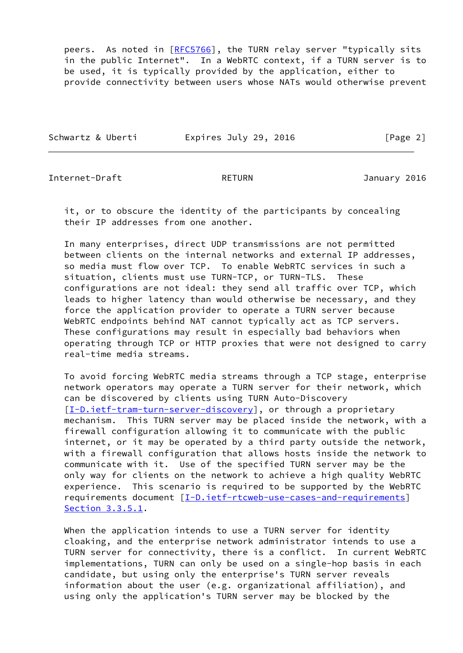peers. As noted in [\[RFC5766](https://datatracker.ietf.org/doc/pdf/rfc5766)], the TURN relay server "typically sits in the public Internet". In a WebRTC context, if a TURN server is to be used, it is typically provided by the application, either to provide connectivity between users whose NATs would otherwise prevent

|  | Schwartz & Uberti | Expires July 29, 2016 | [Page 2] |
|--|-------------------|-----------------------|----------|
|--|-------------------|-----------------------|----------|

Internet-Draft RETURN January 2016

 it, or to obscure the identity of the participants by concealing their IP addresses from one another.

 In many enterprises, direct UDP transmissions are not permitted between clients on the internal networks and external IP addresses, so media must flow over TCP. To enable WebRTC services in such a situation, clients must use TURN-TCP, or TURN-TLS. These configurations are not ideal: they send all traffic over TCP, which leads to higher latency than would otherwise be necessary, and they force the application provider to operate a TURN server because WebRTC endpoints behind NAT cannot typically act as TCP servers. These configurations may result in especially bad behaviors when operating through TCP or HTTP proxies that were not designed to carry real-time media streams.

 To avoid forcing WebRTC media streams through a TCP stage, enterprise network operators may operate a TURN server for their network, which can be discovered by clients using TURN Auto-Discovery [\[I-D.ietf-tram-turn-server-discovery](#page-19-1)], or through a proprietary mechanism. This TURN server may be placed inside the network, with a firewall configuration allowing it to communicate with the public internet, or it may be operated by a third party outside the network, with a firewall configuration that allows hosts inside the network to communicate with it. Use of the specified TURN server may be the only way for clients on the network to achieve a high quality WebRTC experience. This scenario is required to be supported by the WebRTC requirements document [[I-D.ietf-rtcweb-use-cases-and-requirements\]](#page-18-4) Section 3.3.5.1.

 When the application intends to use a TURN server for identity cloaking, and the enterprise network administrator intends to use a TURN server for connectivity, there is a conflict. In current WebRTC implementations, TURN can only be used on a single-hop basis in each candidate, but using only the enterprise's TURN server reveals information about the user (e.g. organizational affiliation), and using only the application's TURN server may be blocked by the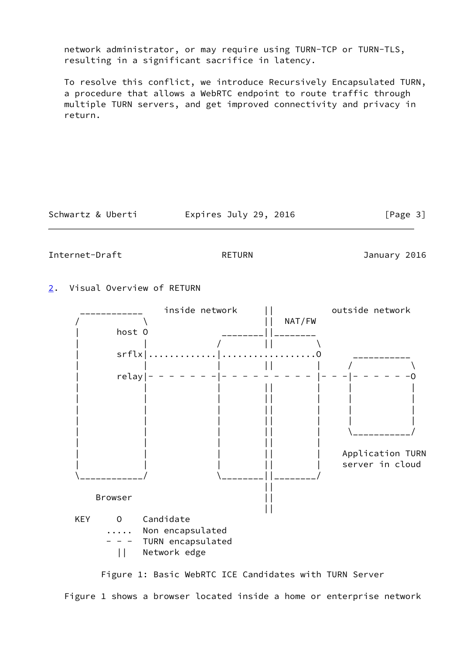network administrator, or may require using TURN-TCP or TURN-TLS, resulting in a significant sacrifice in latency.

 To resolve this conflict, we introduce Recursively Encapsulated TURN, a procedure that allows a WebRTC endpoint to route traffic through multiple TURN servers, and get improved connectivity and privacy in return.

Schwartz & Uberti Expires July 29, 2016 [Page 3]

<span id="page-3-1"></span>Internet-Draft RETURN January 2016

<span id="page-3-0"></span>[2](#page-3-0). Visual Overview of RETURN



Figure 1: Basic WebRTC ICE Candidates with TURN Server

Figure 1 shows a browser located inside a home or enterprise network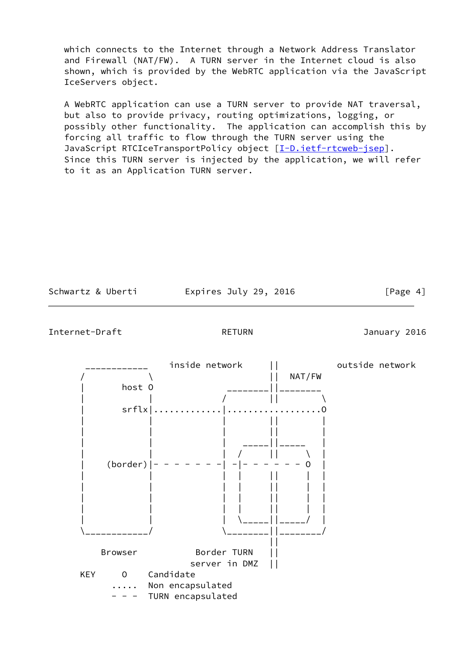which connects to the Internet through a Network Address Translator and Firewall (NAT/FW). A TURN server in the Internet cloud is also shown, which is provided by the WebRTC application via the JavaScript IceServers object.

 A WebRTC application can use a TURN server to provide NAT traversal, but also to provide privacy, routing optimizations, logging, or possibly other functionality. The application can accomplish this by forcing all traffic to flow through the TURN server using the JavaScript RTCIceTransportPolicy object [\[I-D.ietf-rtcweb-jsep](#page-18-5)]. Since this TURN server is injected by the application, we will refer to it as an Application TURN server.

Expires July 29, 2016  $[Page 4]$ 



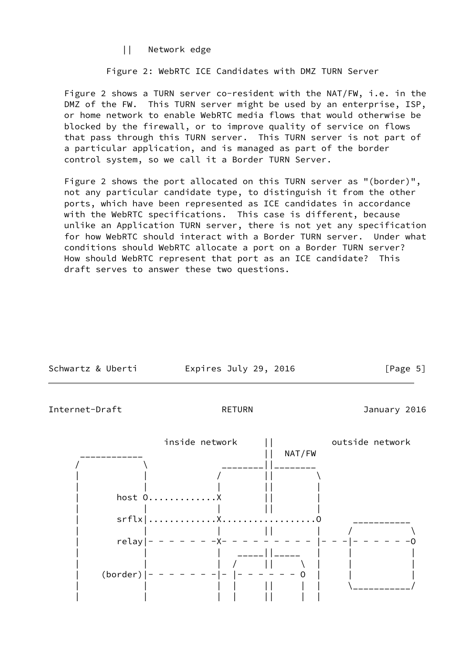|| Network edge

Figure 2: WebRTC ICE Candidates with DMZ TURN Server

 Figure 2 shows a TURN server co-resident with the NAT/FW, i.e. in the DMZ of the FW. This TURN server might be used by an enterprise, ISP, or home network to enable WebRTC media flows that would otherwise be blocked by the firewall, or to improve quality of service on flows that pass through this TURN server. This TURN server is not part of a particular application, and is managed as part of the border control system, so we call it a Border TURN Server.

 Figure 2 shows the port allocated on this TURN server as "(border)", not any particular candidate type, to distinguish it from the other ports, which have been represented as ICE candidates in accordance with the WebRTC specifications. This case is different, because unlike an Application TURN server, there is not yet any specification for how WebRTC should interact with a Border TURN server. Under what conditions should WebRTC allocate a port on a Border TURN server? How should WebRTC represent that port as an ICE candidate? This draft serves to answer these two questions.

| Schwartz & Uberti           | Expires July 29, 2016                                       | [Page 5]        |
|-----------------------------|-------------------------------------------------------------|-----------------|
| Internet-Draft              | <b>RETURN</b>                                               | January 2016    |
| $relay$  -<br>$(border)$  - | inside network<br>NAT/FW<br>host 0X<br>$-X -$<br>$  -$<br>0 | outside network |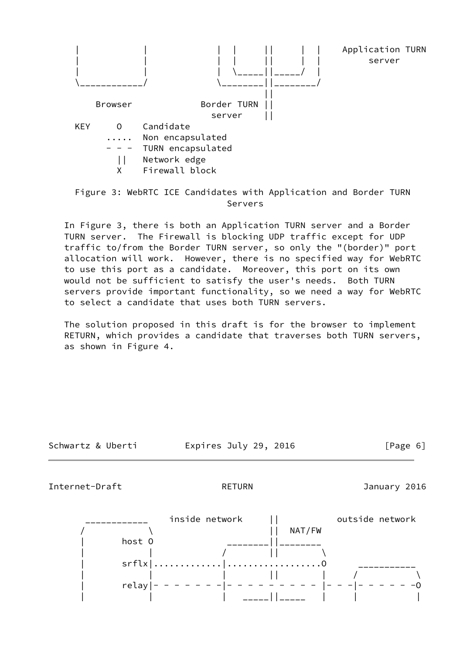

# Figure 3: WebRTC ICE Candidates with Application and Border TURN Servers

 In Figure 3, there is both an Application TURN server and a Border TURN server. The Firewall is blocking UDP traffic except for UDP traffic to/from the Border TURN server, so only the "(border)" port allocation will work. However, there is no specified way for WebRTC to use this port as a candidate. Moreover, this port on its own would not be sufficient to satisfy the user's needs. Both TURN servers provide important functionality, so we need a way for WebRTC to select a candidate that uses both TURN servers.

 The solution proposed in this draft is for the browser to implement RETURN, which provides a candidate that traverses both TURN servers, as shown in Figure 4.

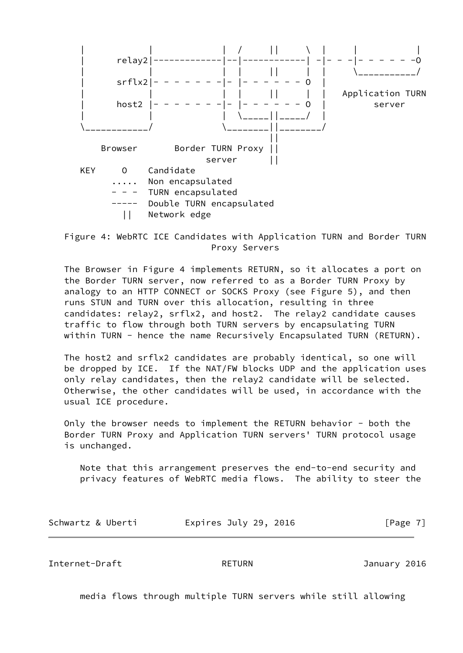

 Figure 4: WebRTC ICE Candidates with Application TURN and Border TURN Proxy Servers

 The Browser in Figure 4 implements RETURN, so it allocates a port on the Border TURN server, now referred to as a Border TURN Proxy by analogy to an HTTP CONNECT or SOCKS Proxy (see Figure 5), and then runs STUN and TURN over this allocation, resulting in three candidates: relay2, srflx2, and host2. The relay2 candidate causes traffic to flow through both TURN servers by encapsulating TURN within TURN - hence the name Recursively Encapsulated TURN (RETURN).

 The host2 and srflx2 candidates are probably identical, so one will be dropped by ICE. If the NAT/FW blocks UDP and the application uses only relay candidates, then the relay2 candidate will be selected. Otherwise, the other candidates will be used, in accordance with the usual ICE procedure.

 Only the browser needs to implement the RETURN behavior - both the Border TURN Proxy and Application TURN servers' TURN protocol usage is unchanged.

 Note that this arrangement preserves the end-to-end security and privacy features of WebRTC media flows. The ability to steer the

| Schwartz & Uberti | Expires July 29, 2016 | [Page 7] |
|-------------------|-----------------------|----------|
|-------------------|-----------------------|----------|

<span id="page-7-0"></span>Internet-Draft RETURN January 2016

media flows through multiple TURN servers while still allowing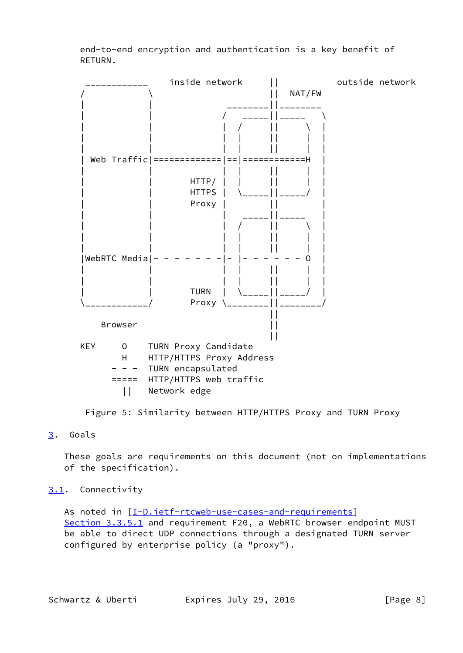end-to-end encryption and authentication is a key benefit of RETURN.



Figure 5: Similarity between HTTP/HTTPS Proxy and TURN Proxy

## <span id="page-8-0"></span>[3](#page-8-0). Goals

 These goals are requirements on this document (not on implementations of the specification).

## <span id="page-8-1"></span>[3.1](#page-8-1). Connectivity

As noted in [\[I-D.ietf-rtcweb-use-cases-and-requirements\]](#page-18-4) Section 3.3.5.1 and requirement F20, a WebRTC browser endpoint MUST be able to direct UDP connections through a designated TURN server configured by enterprise policy (a "proxy").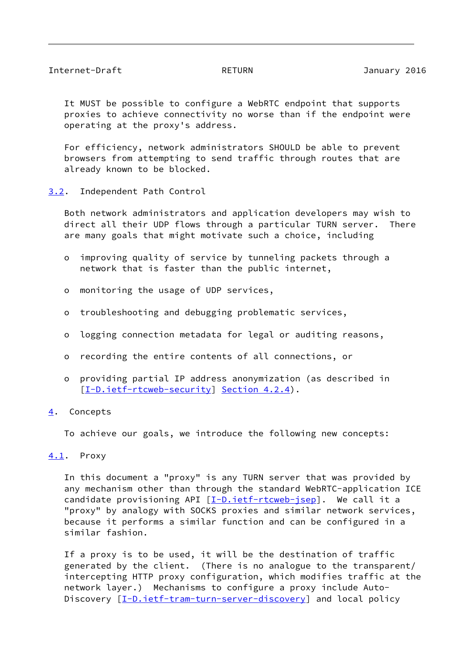<span id="page-9-2"></span> It MUST be possible to configure a WebRTC endpoint that supports proxies to achieve connectivity no worse than if the endpoint were operating at the proxy's address.

 For efficiency, network administrators SHOULD be able to prevent browsers from attempting to send traffic through routes that are already known to be blocked.

<span id="page-9-1"></span>[3.2](#page-9-1). Independent Path Control

 Both network administrators and application developers may wish to direct all their UDP flows through a particular TURN server. There are many goals that might motivate such a choice, including

- o improving quality of service by tunneling packets through a network that is faster than the public internet,
- o monitoring the usage of UDP services,
- o troubleshooting and debugging problematic services,
- o logging connection metadata for legal or auditing reasons,
- o recording the entire contents of all connections, or
- o providing partial IP address anonymization (as described in [[I-D.ietf-rtcweb-security\]](#page-18-6) Section 4.2.4).
- <span id="page-9-0"></span>[4](#page-9-0). Concepts

To achieve our goals, we introduce the following new concepts:

### <span id="page-9-3"></span>[4.1](#page-9-3). Proxy

 In this document a "proxy" is any TURN server that was provided by any mechanism other than through the standard WebRTC-application ICE candidate provisioning API [[I-D.ietf-rtcweb-jsep\]](#page-18-5). We call it a "proxy" by analogy with SOCKS proxies and similar network services, because it performs a similar function and can be configured in a similar fashion.

 If a proxy is to be used, it will be the destination of traffic generated by the client. (There is no analogue to the transparent/ intercepting HTTP proxy configuration, which modifies traffic at the network layer.) Mechanisms to configure a proxy include Auto- Discovery [[I-D.ietf-tram-turn-server-discovery](#page-19-1)] and local policy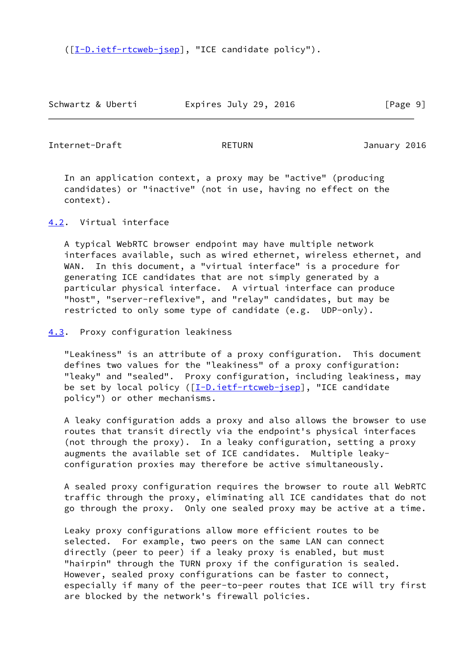([\[I-D.ietf-rtcweb-jsep](#page-18-5)], "ICE candidate policy").

Schwartz & Uberti Expires July 29, 2016 [Page 9]

<span id="page-10-1"></span>Internet-Draft RETURN January 2016

 In an application context, a proxy may be "active" (producing candidates) or "inactive" (not in use, having no effect on the context).

<span id="page-10-0"></span>[4.2](#page-10-0). Virtual interface

 A typical WebRTC browser endpoint may have multiple network interfaces available, such as wired ethernet, wireless ethernet, and WAN. In this document, a "virtual interface" is a procedure for generating ICE candidates that are not simply generated by a particular physical interface. A virtual interface can produce "host", "server-reflexive", and "relay" candidates, but may be restricted to only some type of candidate (e.g. UDP-only).

<span id="page-10-2"></span>[4.3](#page-10-2). Proxy configuration leakiness

 "Leakiness" is an attribute of a proxy configuration. This document defines two values for the "leakiness" of a proxy configuration: "leaky" and "sealed". Proxy configuration, including leakiness, may be set by local policy ([\[I-D.ietf-rtcweb-jsep](#page-18-5)], "ICE candidate policy") or other mechanisms.

 A leaky configuration adds a proxy and also allows the browser to use routes that transit directly via the endpoint's physical interfaces (not through the proxy). In a leaky configuration, setting a proxy augments the available set of ICE candidates. Multiple leaky configuration proxies may therefore be active simultaneously.

 A sealed proxy configuration requires the browser to route all WebRTC traffic through the proxy, eliminating all ICE candidates that do not go through the proxy. Only one sealed proxy may be active at a time.

 Leaky proxy configurations allow more efficient routes to be selected. For example, two peers on the same LAN can connect directly (peer to peer) if a leaky proxy is enabled, but must "hairpin" through the TURN proxy if the configuration is sealed. However, sealed proxy configurations can be faster to connect, especially if many of the peer-to-peer routes that ICE will try first are blocked by the network's firewall policies.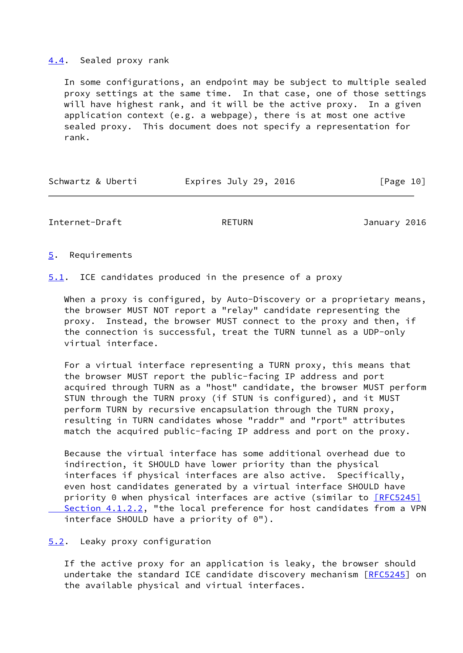### <span id="page-11-0"></span>[4.4](#page-11-0). Sealed proxy rank

 In some configurations, an endpoint may be subject to multiple sealed proxy settings at the same time. In that case, one of those settings will have highest rank, and it will be the active proxy. In a given application context (e.g. a webpage), there is at most one active sealed proxy. This document does not specify a representation for rank.

| Expires July 29, 2016<br>Schwartz & Uberti | [Page 10] |  |
|--------------------------------------------|-----------|--|
|--------------------------------------------|-----------|--|

<span id="page-11-2"></span>Internet-Draft RETURN January 2016

<span id="page-11-1"></span>[5](#page-11-1). Requirements

<span id="page-11-3"></span>[5.1](#page-11-3). ICE candidates produced in the presence of a proxy

When a proxy is configured, by Auto-Discovery or a proprietary means, the browser MUST NOT report a "relay" candidate representing the proxy. Instead, the browser MUST connect to the proxy and then, if the connection is successful, treat the TURN tunnel as a UDP-only virtual interface.

 For a virtual interface representing a TURN proxy, this means that the browser MUST report the public-facing IP address and port acquired through TURN as a "host" candidate, the browser MUST perform STUN through the TURN proxy (if STUN is configured), and it MUST perform TURN by recursive encapsulation through the TURN proxy, resulting in TURN candidates whose "raddr" and "rport" attributes match the acquired public-facing IP address and port on the proxy.

 Because the virtual interface has some additional overhead due to indirection, it SHOULD have lower priority than the physical interfaces if physical interfaces are also active. Specifically, even host candidates generated by a virtual interface SHOULD have priority 0 when physical interfaces are active (similar to **[\[RFC5245\]](https://datatracker.ietf.org/doc/pdf/rfc5245#section-4.1.2.2)** Section 4.1.2.2, "the local preference for host candidates from a VPN interface SHOULD have a priority of 0").

<span id="page-11-4"></span>[5.2](#page-11-4). Leaky proxy configuration

 If the active proxy for an application is leaky, the browser should undertake the standard ICE candidate discovery mechanism [\[RFC5245](https://datatracker.ietf.org/doc/pdf/rfc5245)] on the available physical and virtual interfaces.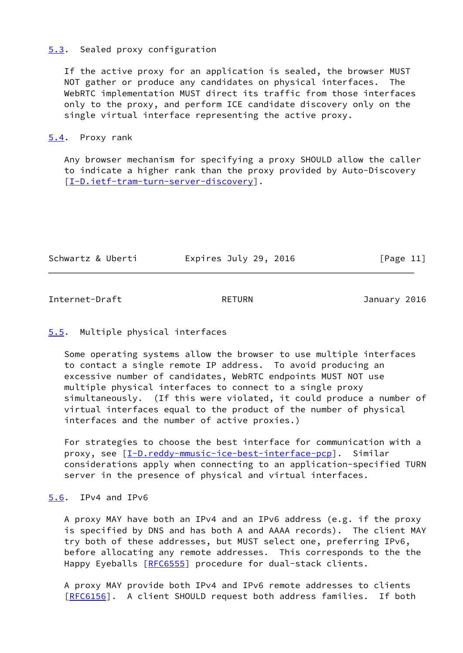### <span id="page-12-0"></span>[5.3](#page-12-0). Sealed proxy configuration

 If the active proxy for an application is sealed, the browser MUST NOT gather or produce any candidates on physical interfaces. The WebRTC implementation MUST direct its traffic from those interfaces only to the proxy, and perform ICE candidate discovery only on the single virtual interface representing the active proxy.

### <span id="page-12-1"></span>[5.4](#page-12-1). Proxy rank

 Any browser mechanism for specifying a proxy SHOULD allow the caller to indicate a higher rank than the proxy provided by Auto-Discovery [\[I-D.ietf-tram-turn-server-discovery](#page-19-1)].

| Schwartz & Uberti | Expires July 29, 2016 | [Page 11] |
|-------------------|-----------------------|-----------|
|                   |                       |           |

<span id="page-12-3"></span>Internet-Draft RETURN RETURN January 2016

## <span id="page-12-2"></span>[5.5](#page-12-2). Multiple physical interfaces

 Some operating systems allow the browser to use multiple interfaces to contact a single remote IP address. To avoid producing an excessive number of candidates, WebRTC endpoints MUST NOT use multiple physical interfaces to connect to a single proxy simultaneously. (If this were violated, it could produce a number of virtual interfaces equal to the product of the number of physical interfaces and the number of active proxies.)

 For strategies to choose the best interface for communication with a proxy, see [[I-D.reddy-mmusic-ice-best-interface-pcp\]](#page-19-2). Similar considerations apply when connecting to an application-specified TURN server in the presence of physical and virtual interfaces.

## <span id="page-12-4"></span>[5.6](#page-12-4). IPv4 and IPv6

 A proxy MAY have both an IPv4 and an IPv6 address (e.g. if the proxy is specified by DNS and has both A and AAAA records). The client MAY try both of these addresses, but MUST select one, preferring IPv6, before allocating any remote addresses. This corresponds to the the Happy Eyeballs [\[RFC6555](https://datatracker.ietf.org/doc/pdf/rfc6555)] procedure for dual-stack clients.

 A proxy MAY provide both IPv4 and IPv6 remote addresses to clients [\[RFC6156](https://datatracker.ietf.org/doc/pdf/rfc6156)]. A client SHOULD request both address families. If both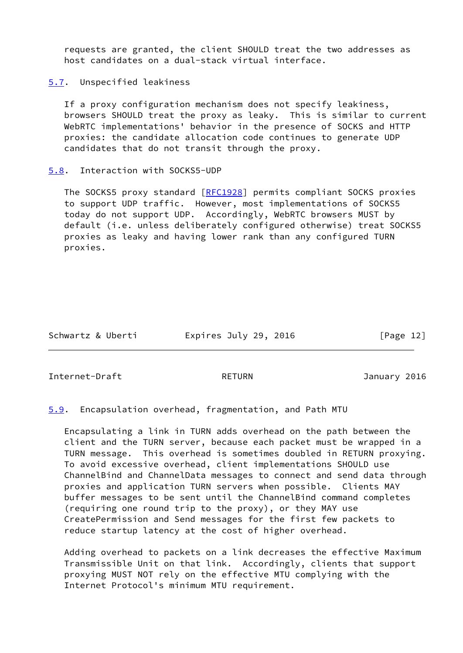requests are granted, the client SHOULD treat the two addresses as host candidates on a dual-stack virtual interface.

<span id="page-13-0"></span>[5.7](#page-13-0). Unspecified leakiness

 If a proxy configuration mechanism does not specify leakiness, browsers SHOULD treat the proxy as leaky. This is similar to current WebRTC implementations' behavior in the presence of SOCKS and HTTP proxies: the candidate allocation code continues to generate UDP candidates that do not transit through the proxy.

#### <span id="page-13-1"></span>[5.8](#page-13-1). Interaction with SOCKS5-UDP

The SOCKS5 proxy standard [[RFC1928](https://datatracker.ietf.org/doc/pdf/rfc1928)] permits compliant SOCKS proxies to support UDP traffic. However, most implementations of SOCKS5 today do not support UDP. Accordingly, WebRTC browsers MUST by default (i.e. unless deliberately configured otherwise) treat SOCKS5 proxies as leaky and having lower rank than any configured TURN proxies.

Schwartz & Uberti **Expires July 29, 2016** [Page 12]

<span id="page-13-3"></span>Internet-Draft RETURN January 2016

<span id="page-13-2"></span>[5.9](#page-13-2). Encapsulation overhead, fragmentation, and Path MTU

 Encapsulating a link in TURN adds overhead on the path between the client and the TURN server, because each packet must be wrapped in a TURN message. This overhead is sometimes doubled in RETURN proxying. To avoid excessive overhead, client implementations SHOULD use ChannelBind and ChannelData messages to connect and send data through proxies and application TURN servers when possible. Clients MAY buffer messages to be sent until the ChannelBind command completes (requiring one round trip to the proxy), or they MAY use CreatePermission and Send messages for the first few packets to reduce startup latency at the cost of higher overhead.

 Adding overhead to packets on a link decreases the effective Maximum Transmissible Unit on that link. Accordingly, clients that support proxying MUST NOT rely on the effective MTU complying with the Internet Protocol's minimum MTU requirement.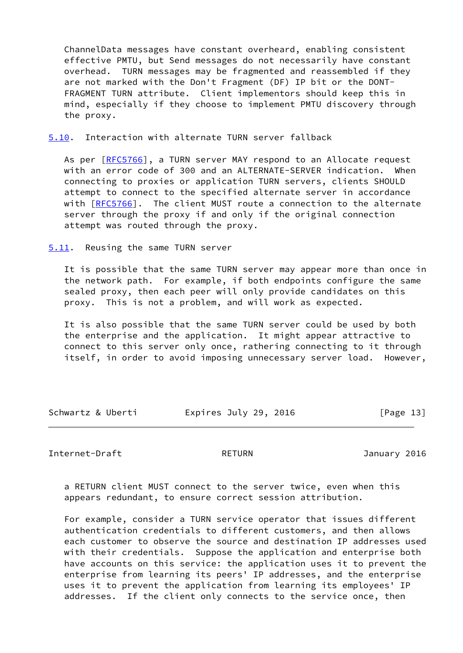ChannelData messages have constant overheard, enabling consistent effective PMTU, but Send messages do not necessarily have constant overhead. TURN messages may be fragmented and reassembled if they are not marked with the Don't Fragment (DF) IP bit or the DONT- FRAGMENT TURN attribute. Client implementors should keep this in mind, especially if they choose to implement PMTU discovery through the proxy.

<span id="page-14-0"></span>[5.10](#page-14-0). Interaction with alternate TURN server fallback

As per  $[REC5766]$ , a TURN server MAY respond to an Allocate request with an error code of 300 and an ALTERNATE-SERVER indication. When connecting to proxies or application TURN servers, clients SHOULD attempt to connect to the specified alternate server in accordance with [\[RFC5766](https://datatracker.ietf.org/doc/pdf/rfc5766)]. The client MUST route a connection to the alternate server through the proxy if and only if the original connection attempt was routed through the proxy.

<span id="page-14-1"></span>[5.11](#page-14-1). Reusing the same TURN server

 It is possible that the same TURN server may appear more than once in the network path. For example, if both endpoints configure the same sealed proxy, then each peer will only provide candidates on this proxy. This is not a problem, and will work as expected.

 It is also possible that the same TURN server could be used by both the enterprise and the application. It might appear attractive to connect to this server only once, rathering connecting to it through itself, in order to avoid imposing unnecessary server load. However,

Schwartz & Uberti Expires July 29, 2016 [Page 13]

<span id="page-14-2"></span>Internet-Draft RETURN RETURN January 2016

 a RETURN client MUST connect to the server twice, even when this appears redundant, to ensure correct session attribution.

 For example, consider a TURN service operator that issues different authentication credentials to different customers, and then allows each customer to observe the source and destination IP addresses used with their credentials. Suppose the application and enterprise both have accounts on this service: the application uses it to prevent the enterprise from learning its peers' IP addresses, and the enterprise uses it to prevent the application from learning its employees' IP addresses. If the client only connects to the service once, then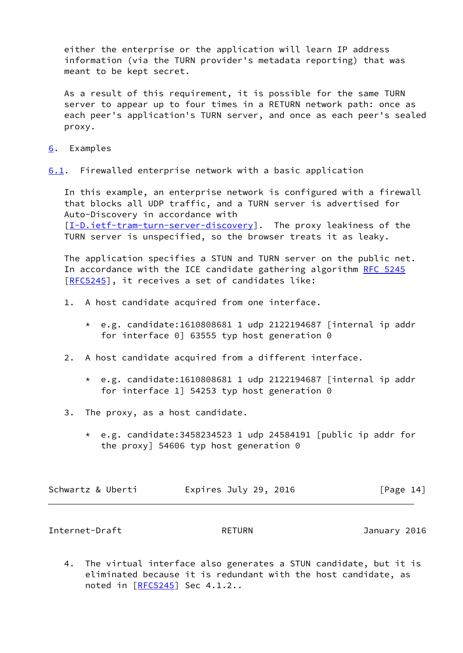either the enterprise or the application will learn IP address information (via the TURN provider's metadata reporting) that was meant to be kept secret.

 As a result of this requirement, it is possible for the same TURN server to appear up to four times in a RETURN network path: once as each peer's application's TURN server, and once as each peer's sealed proxy.

<span id="page-15-0"></span>[6](#page-15-0). Examples

<span id="page-15-2"></span>[6.1](#page-15-2). Firewalled enterprise network with a basic application

 In this example, an enterprise network is configured with a firewall that blocks all UDP traffic, and a TURN server is advertised for Auto-Discovery in accordance with [\[I-D.ietf-tram-turn-server-discovery](#page-19-1)]. The proxy leakiness of the TURN server is unspecified, so the browser treats it as leaky.

 The application specifies a STUN and TURN server on the public net. In accordance with the ICE candidate gathering algorithm [RFC 5245](https://datatracker.ietf.org/doc/pdf/rfc5245) [\[RFC5245](https://datatracker.ietf.org/doc/pdf/rfc5245)], it receives a set of candidates like:

- 1. A host candidate acquired from one interface.
	- \* e.g. candidate:1610808681 1 udp 2122194687 [internal ip addr for interface 0] 63555 typ host generation 0
- 2. A host candidate acquired from a different interface.
	- \* e.g. candidate:1610808681 1 udp 2122194687 [internal ip addr for interface 1] 54253 typ host generation 0
- 3. The proxy, as a host candidate.
	- \* e.g. candidate:3458234523 1 udp 24584191 [public ip addr for the proxy] 54606 typ host generation 0

| Schwartz & Uberti | Expires July 29, 2016 | [Page 14] |
|-------------------|-----------------------|-----------|
|-------------------|-----------------------|-----------|

<span id="page-15-1"></span>Internet-Draft RETURN January 2016

 4. The virtual interface also generates a STUN candidate, but it is eliminated because it is redundant with the host candidate, as noted in [\[RFC5245](https://datatracker.ietf.org/doc/pdf/rfc5245)] Sec 4.1.2..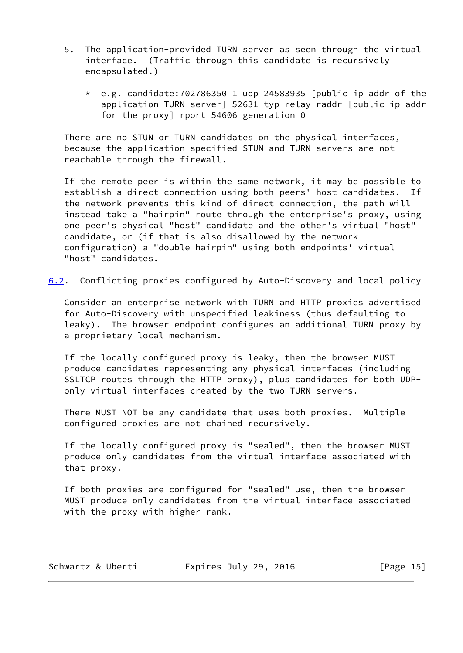- 5. The application-provided TURN server as seen through the virtual interface. (Traffic through this candidate is recursively encapsulated.)
	- $*$  e.g. candidate:702786350 1 udp 24583935 [public ip addr of the application TURN server] 52631 typ relay raddr [public ip addr for the proxy] rport 54606 generation 0

 There are no STUN or TURN candidates on the physical interfaces, because the application-specified STUN and TURN servers are not reachable through the firewall.

 If the remote peer is within the same network, it may be possible to establish a direct connection using both peers' host candidates. If the network prevents this kind of direct connection, the path will instead take a "hairpin" route through the enterprise's proxy, using one peer's physical "host" candidate and the other's virtual "host" candidate, or (if that is also disallowed by the network configuration) a "double hairpin" using both endpoints' virtual "host" candidates.

<span id="page-16-0"></span>[6.2](#page-16-0). Conflicting proxies configured by Auto-Discovery and local policy

 Consider an enterprise network with TURN and HTTP proxies advertised for Auto-Discovery with unspecified leakiness (thus defaulting to leaky). The browser endpoint configures an additional TURN proxy by a proprietary local mechanism.

 If the locally configured proxy is leaky, then the browser MUST produce candidates representing any physical interfaces (including SSLTCP routes through the HTTP proxy), plus candidates for both UDP only virtual interfaces created by the two TURN servers.

 There MUST NOT be any candidate that uses both proxies. Multiple configured proxies are not chained recursively.

 If the locally configured proxy is "sealed", then the browser MUST produce only candidates from the virtual interface associated with that proxy.

 If both proxies are configured for "sealed" use, then the browser MUST produce only candidates from the virtual interface associated with the proxy with higher rank.

| Schwartz & Uberti | Expires July 29, 2016 | [Page $15$ ] |
|-------------------|-----------------------|--------------|
|-------------------|-----------------------|--------------|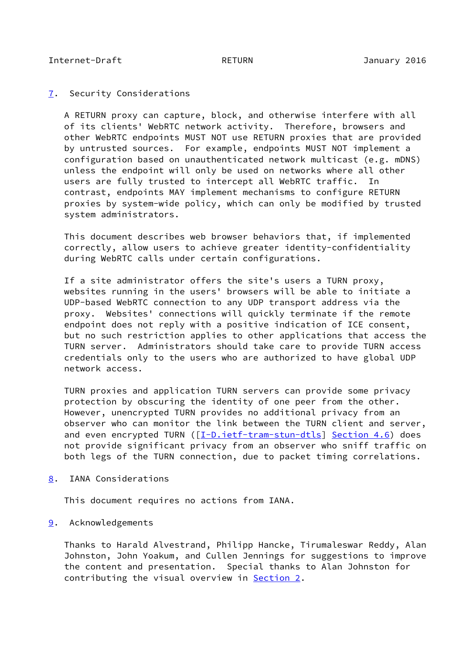## <span id="page-17-1"></span><span id="page-17-0"></span>[7](#page-17-0). Security Considerations

 A RETURN proxy can capture, block, and otherwise interfere with all of its clients' WebRTC network activity. Therefore, browsers and other WebRTC endpoints MUST NOT use RETURN proxies that are provided by untrusted sources. For example, endpoints MUST NOT implement a configuration based on unauthenticated network multicast (e.g. mDNS) unless the endpoint will only be used on networks where all other users are fully trusted to intercept all WebRTC traffic. In contrast, endpoints MAY implement mechanisms to configure RETURN proxies by system-wide policy, which can only be modified by trusted system administrators.

 This document describes web browser behaviors that, if implemented correctly, allow users to achieve greater identity-confidentiality during WebRTC calls under certain configurations.

 If a site administrator offers the site's users a TURN proxy, websites running in the users' browsers will be able to initiate a UDP-based WebRTC connection to any UDP transport address via the proxy. Websites' connections will quickly terminate if the remote endpoint does not reply with a positive indication of ICE consent, but no such restriction applies to other applications that access the TURN server. Administrators should take care to provide TURN access credentials only to the users who are authorized to have global UDP network access.

 TURN proxies and application TURN servers can provide some privacy protection by obscuring the identity of one peer from the other. However, unencrypted TURN provides no additional privacy from an observer who can monitor the link between the TURN client and server, and even encrypted TURN ([\[I-D.ietf-tram-stun-dtls](#page-19-3)] Section 4.6) does not provide significant privacy from an observer who sniff traffic on both legs of the TURN connection, due to packet timing correlations.

<span id="page-17-2"></span>[8](#page-17-2). IANA Considerations

This document requires no actions from IANA.

<span id="page-17-3"></span>[9](#page-17-3). Acknowledgements

 Thanks to Harald Alvestrand, Philipp Hancke, Tirumaleswar Reddy, Alan Johnston, John Yoakum, and Cullen Jennings for suggestions to improve the content and presentation. Special thanks to Alan Johnston for contributing the visual overview in **[Section 2.](#page-3-0)**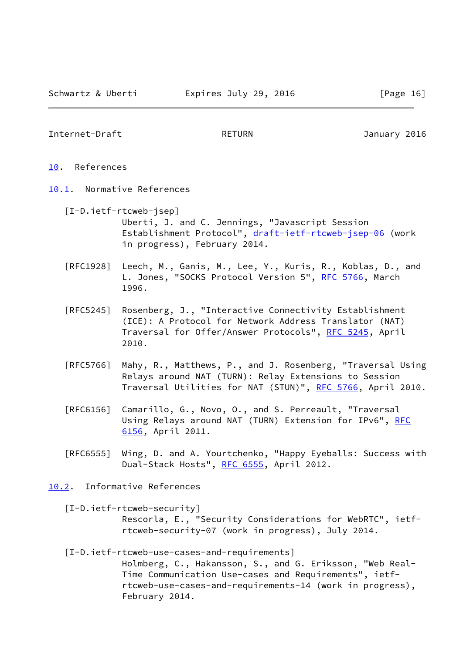### <span id="page-18-1"></span>Internet-Draft RETURN RETURN January 2016

- <span id="page-18-0"></span>[10.](#page-18-0) References
- <span id="page-18-5"></span><span id="page-18-2"></span>[10.1](#page-18-2). Normative References
	- [I-D.ietf-rtcweb-jsep] Uberti, J. and C. Jennings, "Javascript Session Establishment Protocol", [draft-ietf-rtcweb-jsep-06](https://datatracker.ietf.org/doc/pdf/draft-ietf-rtcweb-jsep-06) (work in progress), February 2014.
	- [RFC1928] Leech, M., Ganis, M., Lee, Y., Kuris, R., Koblas, D., and L. Jones, "SOCKS Protocol Version 5", [RFC 5766](https://datatracker.ietf.org/doc/pdf/rfc5766), March 1996.
	- [RFC5245] Rosenberg, J., "Interactive Connectivity Establishment (ICE): A Protocol for Network Address Translator (NAT) Traversal for Offer/Answer Protocols", [RFC 5245](https://datatracker.ietf.org/doc/pdf/rfc5245), April 2010.
	- [RFC5766] Mahy, R., Matthews, P., and J. Rosenberg, "Traversal Using Relays around NAT (TURN): Relay Extensions to Session Traversal Utilities for NAT (STUN)", [RFC 5766](https://datatracker.ietf.org/doc/pdf/rfc5766), April 2010.
	- [RFC6156] Camarillo, G., Novo, O., and S. Perreault, "Traversal Using Relays around NAT (TURN) Extension for IPv6", [RFC](https://datatracker.ietf.org/doc/pdf/rfc6156) [6156,](https://datatracker.ietf.org/doc/pdf/rfc6156) April 2011.
	- [RFC6555] Wing, D. and A. Yourtchenko, "Happy Eyeballs: Success with Dual-Stack Hosts", [RFC 6555](https://datatracker.ietf.org/doc/pdf/rfc6555), April 2012.
- <span id="page-18-6"></span><span id="page-18-4"></span><span id="page-18-3"></span>[10.2](#page-18-3). Informative References
	- [I-D.ietf-rtcweb-security] Rescorla, E., "Security Considerations for WebRTC", ietf rtcweb-security-07 (work in progress), July 2014.
	- [I-D.ietf-rtcweb-use-cases-and-requirements] Holmberg, C., Hakansson, S., and G. Eriksson, "Web Real- Time Communication Use-cases and Requirements", ietf rtcweb-use-cases-and-requirements-14 (work in progress), February 2014.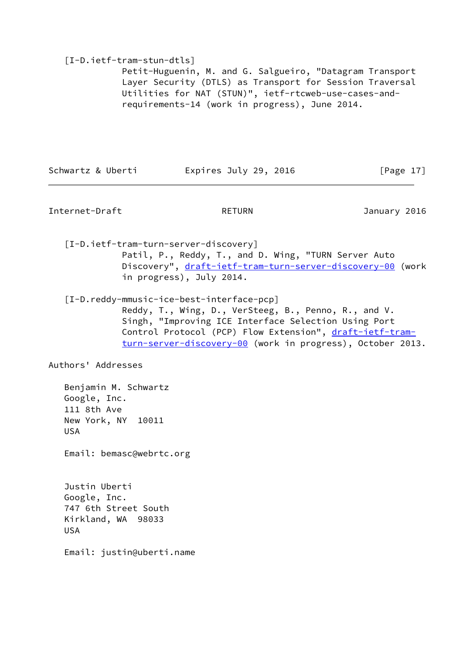## <span id="page-19-3"></span>[I-D.ietf-tram-stun-dtls]

 Petit-Huguenin, M. and G. Salgueiro, "Datagram Transport Layer Security (DTLS) as Transport for Session Traversal Utilities for NAT (STUN)", ietf-rtcweb-use-cases-and requirements-14 (work in progress), June 2014.

Schwartz & Uberti Expires July 29, 2016 [Page 17]

<span id="page-19-0"></span>Internet-Draft RETURN January 2016

<span id="page-19-1"></span> [I-D.ietf-tram-turn-server-discovery] Patil, P., Reddy, T., and D. Wing, "TURN Server Auto Discovery", [draft-ietf-tram-turn-server-discovery-00](https://datatracker.ietf.org/doc/pdf/draft-ietf-tram-turn-server-discovery-00) (work in progress), July 2014.

<span id="page-19-2"></span>[I-D.reddy-mmusic-ice-best-interface-pcp]

 Reddy, T., Wing, D., VerSteeg, B., Penno, R., and V. Singh, "Improving ICE Interface Selection Using Port Control Protocol (PCP) Flow Extension", [draft-ietf-tram](https://datatracker.ietf.org/doc/pdf/draft-ietf-tram-turn-server-discovery-00) [turn-server-discovery-00](https://datatracker.ietf.org/doc/pdf/draft-ietf-tram-turn-server-discovery-00) (work in progress), October 2013.

Authors' Addresses

 Benjamin M. Schwartz Google, Inc. 111 8th Ave New York, NY 10011 USA

Email: bemasc@webrtc.org

 Justin Uberti Google, Inc. 747 6th Street South Kirkland, WA 98033 USA

Email: justin@uberti.name